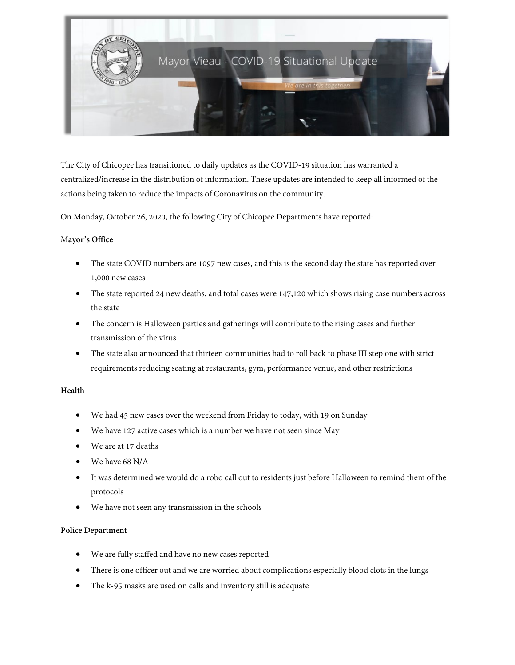

The City of Chicopee has transitioned to daily updates as the COVID-19 situation has warranted a centralized/increase in the distribution of information. These updates are intended to keep all informed of the actions being taken to reduce the impacts of Coronavirus on the community.

On Monday, October 26, 2020, the following City of Chicopee Departments have reported:

### M**ayor's Office**

- The state COVID numbers are 1097 new cases, and this is the second day the state has reported over 1,000 new cases
- The state reported 24 new deaths, and total cases were 147,120 which shows rising case numbers across the state
- The concern is Halloween parties and gatherings will contribute to the rising cases and further transmission of the virus
- The state also announced that thirteen communities had to roll back to phase III step one with strict requirements reducing seating at restaurants, gym, performance venue, and other restrictions

# **Health**

- We had 45 new cases over the weekend from Friday to today, with 19 on Sunday
- We have 127 active cases which is a number we have not seen since May
- We are at 17 deaths
- We have 68 N/A
- It was determined we would do a robo call out to residents just before Halloween to remind them of the protocols
- We have not seen any transmission in the schools

#### **Police Department**

- We are fully staffed and have no new cases reported
- There is one officer out and we are worried about complications especially blood clots in the lungs
- The k-95 masks are used on calls and inventory still is adequate